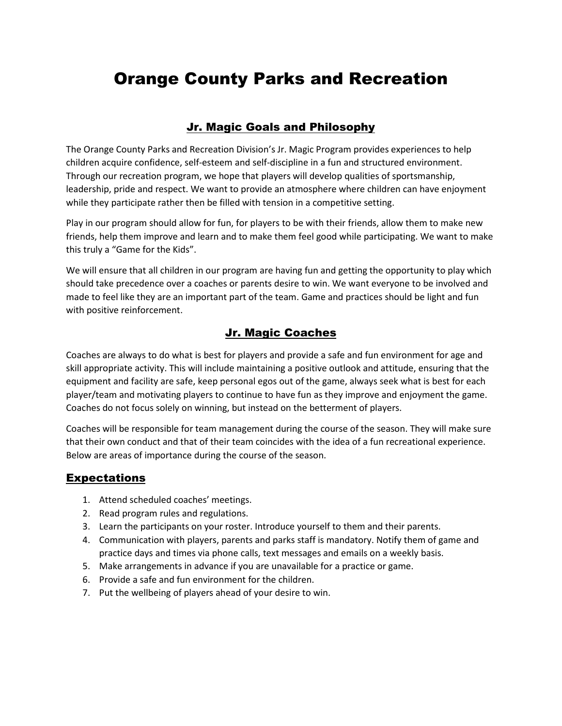# Orange County Parks and Recreation

## Jr. Magic Goals and Philosophy

The Orange County Parks and Recreation Division's Jr. Magic Program provides experiences to help children acquire confidence, self-esteem and self-discipline in a fun and structured environment. Through our recreation program, we hope that players will develop qualities of sportsmanship, leadership, pride and respect. We want to provide an atmosphere where children can have enjoyment while they participate rather then be filled with tension in a competitive setting.

Play in our program should allow for fun, for players to be with their friends, allow them to make new friends, help them improve and learn and to make them feel good while participating. We want to make this truly a "Game for the Kids".

We will ensure that all children in our program are having fun and getting the opportunity to play which should take precedence over a coaches or parents desire to win. We want everyone to be involved and made to feel like they are an important part of the team. Game and practices should be light and fun with positive reinforcement.

### Jr. Magic Coaches

Coaches are always to do what is best for players and provide a safe and fun environment for age and skill appropriate activity. This will include maintaining a positive outlook and attitude, ensuring that the equipment and facility are safe, keep personal egos out of the game, always seek what is best for each player/team and motivating players to continue to have fun as they improve and enjoyment the game. Coaches do not focus solely on winning, but instead on the betterment of players.

Coaches will be responsible for team management during the course of the season. They will make sure that their own conduct and that of their team coincides with the idea of a fun recreational experience. Below are areas of importance during the course of the season.

#### **Expectations**

- 1. Attend scheduled coaches' meetings.
- 2. Read program rules and regulations.
- 3. Learn the participants on your roster. Introduce yourself to them and their parents.
- 4. Communication with players, parents and parks staff is mandatory. Notify them of game and practice days and times via phone calls, text messages and emails on a weekly basis.
- 5. Make arrangements in advance if you are unavailable for a practice or game.
- 6. Provide a safe and fun environment for the children.
- 7. Put the wellbeing of players ahead of your desire to win.